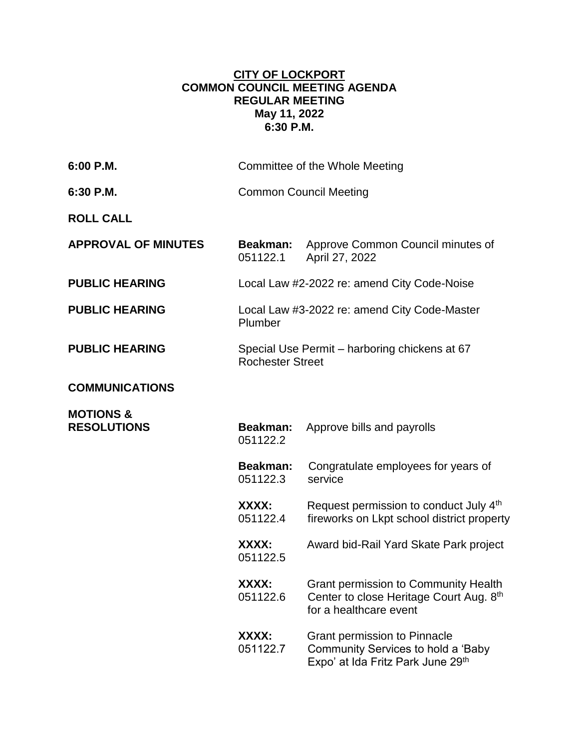## **CITY OF LOCKPORT COMMON COUNCIL MEETING AGENDA REGULAR MEETING May 11, 2022 6:30 P.M.**

| 6:00 P.M.                                  |                                                                          | Committee of the Whole Meeting                                                                                   |
|--------------------------------------------|--------------------------------------------------------------------------|------------------------------------------------------------------------------------------------------------------|
| 6:30 P.M.                                  |                                                                          | <b>Common Council Meeting</b>                                                                                    |
| <b>ROLL CALL</b>                           |                                                                          |                                                                                                                  |
| <b>APPROVAL OF MINUTES</b>                 | <b>Beakman:</b><br>051122.1                                              | Approve Common Council minutes of<br>April 27, 2022                                                              |
| <b>PUBLIC HEARING</b>                      | Local Law #2-2022 re: amend City Code-Noise                              |                                                                                                                  |
| <b>PUBLIC HEARING</b>                      | Local Law #3-2022 re: amend City Code-Master<br>Plumber                  |                                                                                                                  |
| <b>PUBLIC HEARING</b>                      | Special Use Permit – harboring chickens at 67<br><b>Rochester Street</b> |                                                                                                                  |
| <b>COMMUNICATIONS</b>                      |                                                                          |                                                                                                                  |
| <b>MOTIONS &amp;</b><br><b>RESOLUTIONS</b> | Beakman:<br>051122.2                                                     | Approve bills and payrolls                                                                                       |
|                                            | <b>Beakman:</b><br>051122.3                                              | Congratulate employees for years of<br>service                                                                   |
|                                            | XXXX:<br>051122.4                                                        | Request permission to conduct July 4th<br>fireworks on Lkpt school district property                             |
|                                            | XXXX:<br>051122.5                                                        | Award bid-Rail Yard Skate Park project                                                                           |
|                                            | XXXX:<br>051122.6                                                        | <b>Grant permission to Community Health</b><br>Center to close Heritage Court Aug. 8th<br>for a healthcare event |
|                                            | XXXX:<br>051122.7                                                        | <b>Grant permission to Pinnacle</b><br>Community Services to hold a 'Baby<br>Expo' at Ida Fritz Park June 29th   |